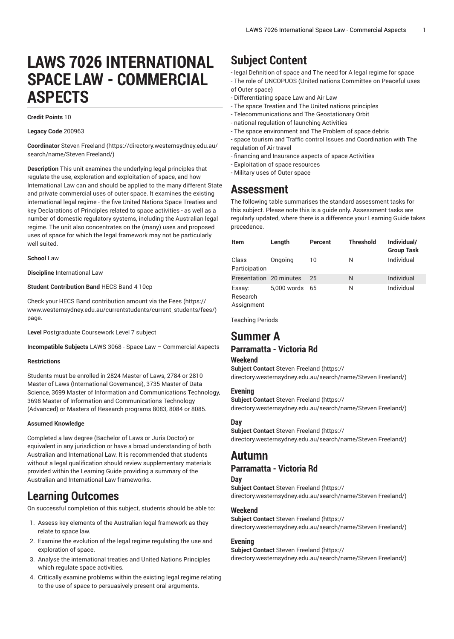# **LAWS 7026 INTERNATIONAL SPACE LAW - COMMERCIAL ASPECTS**

#### **Credit Points** 10

**Legacy Code** 200963

**Coordinator** Steven [Freeland](https://directory.westernsydney.edu.au/search/name/Steven Freeland/) ([https://directory.westernsydney.edu.au/](https://directory.westernsydney.edu.au/search/name/Steven Freeland/) [search/name/Steven](https://directory.westernsydney.edu.au/search/name/Steven Freeland/) Freeland/)

**Description** This unit examines the underlying legal principles that regulate the use, exploration and exploitation of space, and how International Law can and should be applied to the many different State and private commercial uses of outer space. It examines the existing international legal regime - the five United Nations Space Treaties and key Declarations of Principles related to space activities - as well as a number of domestic regulatory systems, including the Australian legal regime. The unit also concentrates on the (many) uses and proposed uses of space for which the legal framework may not be particularly well suited.

**School** Law

**Discipline** International Law

#### **Student Contribution Band** HECS Band 4 10cp

Check your HECS Band contribution amount via the [Fees \(https://](https://www.westernsydney.edu.au/currentstudents/current_students/fees/) [www.westernsydney.edu.au/currentstudents/current\\_students/fees/\)](https://www.westernsydney.edu.au/currentstudents/current_students/fees/) page.

**Level** Postgraduate Coursework Level 7 subject

**Incompatible Subjects** [LAWS](/search/?P=LAWS%203068) 3068 - Space Law – Commercial Aspects

#### **Restrictions**

Students must be enrolled in 2824 Master of Laws, 2784 or 2810 Master of Laws (International Governance), 3735 Master of Data Science, 3699 Master of Information and Communications Technology, 3698 Master of Information and Communications Technology (Advanced) or Masters of Research programs 8083, 8084 or 8085.

#### **Assumed Knowledge**

Completed a law degree (Bachelor of Laws or Juris Doctor) or equivalent in any jurisdiction or have a broad understanding of both Australian and International Law. It is recommended that students without a legal qualification should review supplementary materials provided within the Learning Guide providing a summary of the Australian and International Law frameworks.

# **Learning Outcomes**

On successful completion of this subject, students should be able to:

- 1. Assess key elements of the Australian legal framework as they relate to space law.
- 2. Examine the evolution of the legal regime regulating the use and exploration of space.
- 3. Analyse the international treaties and United Nations Principles which regulate space activities.
- 4. Critically examine problems within the existing legal regime relating to the use of space to persuasively present oral arguments.

# **Subject Content**

- legal Definition of space and The need for A legal regime for space - The role of UNCOPUOS (United nations Committee on Peaceful uses of Outer space)

- Differentiating space Law and Air Law
- The space Treaties and The United nations principles
- Telecommunications and The Geostationary Orbit
- national regulation of launching Activities
- The space environment and The Problem of space debris
- space tourism and Traffic control Issues and Coordination with The regulation of Air travel
- financing and Insurance aspects of space Activities
- Exploitation of space resources
- Military uses of Outer space

## **Assessment**

The following table summarises the standard assessment tasks for this subject. Please note this is a guide only. Assessment tasks are regularly updated, where there is a difference your Learning Guide takes precedence.

| Item                    | Length      | Percent | <b>Threshold</b> | Individual/<br><b>Group Task</b> |
|-------------------------|-------------|---------|------------------|----------------------------------|
| Class<br>Participation  | Ongoing     | 10      | N                | Individual                       |
| Presentation 20 minutes |             | 25      | N                | Individual                       |
| Essay:<br>Research      | 5,000 words | 65      | N                | Individual                       |

Assignment

Teaching Periods

# **Summer A**

## **Parramatta - Victoria Rd**

#### **Weekend**

**Subject Contact** Steven [Freeland \(https://](https://directory.westernsydney.edu.au/search/name/Steven Freeland/) [directory.westernsydney.edu.au/search/name/Steven](https://directory.westernsydney.edu.au/search/name/Steven Freeland/) Freeland/)

#### **Evening**

**Subject Contact** Steven [Freeland \(https://](https://directory.westernsydney.edu.au/search/name/Steven Freeland/) [directory.westernsydney.edu.au/search/name/Steven](https://directory.westernsydney.edu.au/search/name/Steven Freeland/) Freeland/)

#### **Day**

**Subject Contact** Steven [Freeland \(https://](https://directory.westernsydney.edu.au/search/name/Steven Freeland/) [directory.westernsydney.edu.au/search/name/Steven](https://directory.westernsydney.edu.au/search/name/Steven Freeland/) Freeland/)

## **Autumn**

## **Parramatta - Victoria Rd**

#### **Day**

**Subject Contact** Steven [Freeland \(https://](https://directory.westernsydney.edu.au/search/name/Steven Freeland/) [directory.westernsydney.edu.au/search/name/Steven](https://directory.westernsydney.edu.au/search/name/Steven Freeland/) Freeland/)

#### **Weekend**

**Subject Contact** Steven [Freeland \(https://](https://directory.westernsydney.edu.au/search/name/Steven Freeland/) [directory.westernsydney.edu.au/search/name/Steven](https://directory.westernsydney.edu.au/search/name/Steven Freeland/) Freeland/)

#### **Evening**

**Subject Contact** Steven [Freeland \(https://](https://directory.westernsydney.edu.au/search/name/Steven Freeland/) [directory.westernsydney.edu.au/search/name/Steven](https://directory.westernsydney.edu.au/search/name/Steven Freeland/) Freeland/)